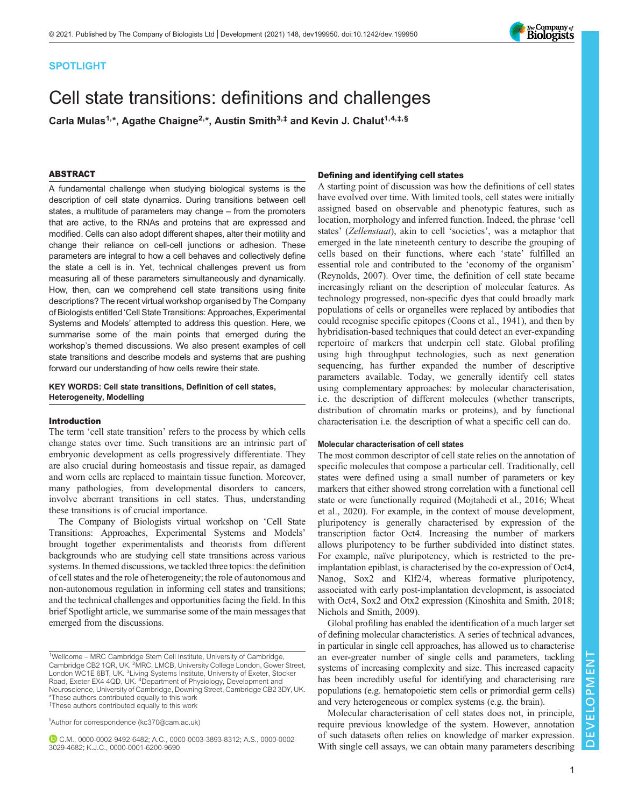# SPOTLIGHT

# Cell state transitions: definitions and challenges

Carla Mulas<sup>1,\*</sup>, Agathe Chaigne<sup>2,\*</sup>, Austin Smith<sup>3,‡</sup> and Kevin J. Chalut<sup>1,4,‡,§</sup>

#### ABSTRACT

A fundamental challenge when studying biological systems is the description of cell state dynamics. During transitions between cell states, a multitude of parameters may change – from the promoters that are active, to the RNAs and proteins that are expressed and modified. Cells can also adopt different shapes, alter their motility and change their reliance on cell-cell junctions or adhesion. These parameters are integral to how a cell behaves and collectively define the state a cell is in. Yet, technical challenges prevent us from measuring all of these parameters simultaneously and dynamically. How, then, can we comprehend cell state transitions using finite descriptions? The recent virtual workshop organised by The Company of Biologists entitled 'Cell State Transitions: Approaches, Experimental Systems and Models' attempted to address this question. Here, we summarise some of the main points that emerged during the workshop's themed discussions. We also present examples of cell state transitions and describe models and systems that are pushing forward our understanding of how cells rewire their state.

KEY WORDS: Cell state transitions, Definition of cell states, Heterogeneity, Modelling

## Introduction

The term 'cell state transition' refers to the process by which cells change states over time. Such transitions are an intrinsic part of embryonic development as cells progressively differentiate. They are also crucial during homeostasis and tissue repair, as damaged and worn cells are replaced to maintain tissue function. Moreover, many pathologies, from developmental disorders to cancers, involve aberrant transitions in cell states. Thus, understanding these transitions is of crucial importance.

The Company of Biologists virtual workshop on 'Cell State Transitions: Approaches, Experimental Systems and Models' brought together experimentalists and theorists from different backgrounds who are studying cell state transitions across various systems. In themed discussions, we tackled three topics: the definition of cell states and the role of heterogeneity; the role of autonomous and non-autonomous regulation in informing cell states and transitions; and the technical challenges and opportunities facing the field. In this brief Spotlight article, we summarise some of the main messages that emerged from the discussions.

§ Author for correspondence ([kc370@cam.ac.uk](mailto:kc370@cam.ac.uk))

C.M., [0000-0002-9492-6482](http://orcid.org/0000-0002-9492-6482); A.C., [0000-0003-3893-8312](http://orcid.org/0000-0003-3893-8312); A.S., [0000-0002-](http://orcid.org/0000-0002-3029-4682) [3029-4682](http://orcid.org/0000-0002-3029-4682); K.J.C., [0000-0001-6200-9690](http://orcid.org/0000-0001-6200-9690)

## Defining and identifying cell states

A starting point of discussion was how the definitions of cell states have evolved over time. With limited tools, cell states were initially assigned based on observable and phenotypic features, such as location, morphology and inferred function. Indeed, the phrase 'cell states' (Zellenstaat), akin to cell 'societies', was a metaphor that emerged in the late nineteenth century to describe the grouping of cells based on their functions, where each 'state' fulfilled an essential role and contributed to the 'economy of the organism' [\(Reynolds, 2007\)](#page-5-0). Over time, the definition of cell state became increasingly reliant on the description of molecular features. As technology progressed, non-specific dyes that could broadly mark populations of cells or organelles were replaced by antibodies that could recognise specific epitopes ([Coons et al., 1941\)](#page-4-0), and then by hybridisation-based techniques that could detect an ever-expanding repertoire of markers that underpin cell state. Global profiling using high throughput technologies, such as next generation sequencing, has further expanded the number of descriptive parameters available. Today, we generally identify cell states using complementary approaches: by molecular characterisation, i.e. the description of different molecules (whether transcripts, distribution of chromatin marks or proteins), and by functional characterisation i.e. the description of what a specific cell can do.

#### Molecular characterisation of cell states

The most common descriptor of cell state relies on the annotation of specific molecules that compose a particular cell. Traditionally, cell states were defined using a small number of parameters or key markers that either showed strong correlation with a functional cell state or were functionally required ([Mojtahedi et al., 2016](#page-4-0); [Wheat](#page-5-0) [et al., 2020\)](#page-5-0). For example, in the context of mouse development, pluripotency is generally characterised by expression of the transcription factor Oct4. Increasing the number of markers allows pluripotency to be further subdivided into distinct states. For example, naïve pluripotency, which is restricted to the preimplantation epiblast, is characterised by the co-expression of Oct4, Nanog, Sox2 and Klf2/4, whereas formative pluripotency, associated with early post-implantation development, is associated with Oct4, Sox2 and Otx2 expression ([Kinoshita and Smith, 2018](#page-4-0); [Nichols and Smith, 2009\)](#page-4-0).

Global profiling has enabled the identification of a much larger set of defining molecular characteristics. A series of technical advances, in particular in single cell approaches, has allowed us to characterise an ever-greater number of single cells and parameters, tackling systems of increasing complexity and size. This increased capacity has been incredibly useful for identifying and characterising rare populations (e.g. hematopoietic stem cells or primordial germ cells) and very heterogeneous or complex systems (e.g. the brain).

Molecular characterisation of cell states does not, in principle, require previous knowledge of the system. However, annotation of such datasets often relies on knowledge of marker expression. With single cell assays, we can obtain many parameters describing  $\mathbb{Z}_{\mathbb{Z}}$ 



<sup>&</sup>lt;sup>1</sup>Wellcome - MRC Cambridge Stem Cell Institute, University of Cambridge, Cambridge CB2 1QR, UK. <sup>2</sup>MRC, LMCB, University College London, Gower Street, London WC1E 6BT, UK. <sup>3</sup>Living Systems Institute, University of Exeter, Stocker Road, Exeter EX4 4QD, UK. <sup>4</sup>Department of Physiology, Development and Neuroscience, University of Cambridge, Downing Street, Cambridge CB2 3DY, UK. \*These authors contributed equally to this work ‡These authors contributed equally to this work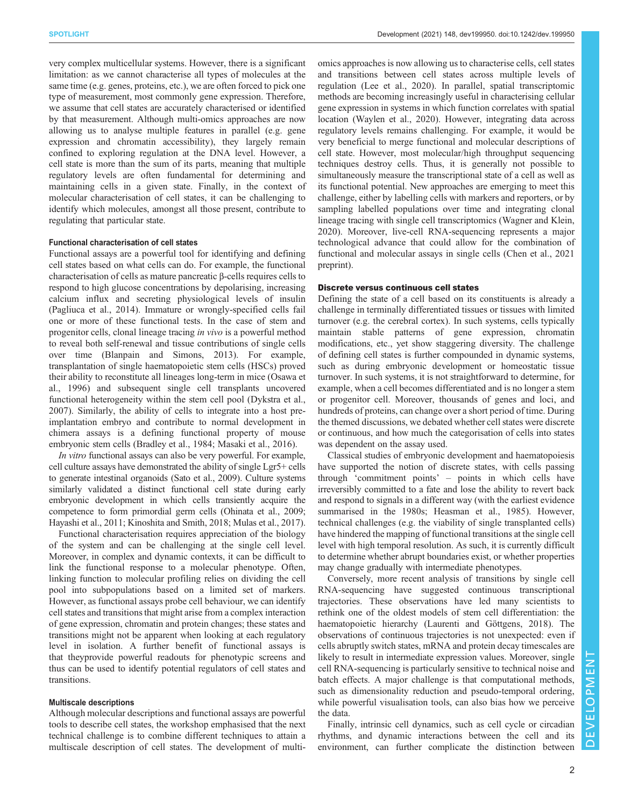very complex multicellular systems. However, there is a significant limitation: as we cannot characterise all types of molecules at the same time (e.g. genes, proteins, etc.), we are often forced to pick one type of measurement, most commonly gene expression. Therefore, we assume that cell states are accurately characterised or identified by that measurement. Although multi-omics approaches are now allowing us to analyse multiple features in parallel (e.g. gene expression and chromatin accessibility), they largely remain confined to exploring regulation at the DNA level. However, a cell state is more than the sum of its parts, meaning that multiple regulatory levels are often fundamental for determining and maintaining cells in a given state. Finally, in the context of molecular characterisation of cell states, it can be challenging to identify which molecules, amongst all those present, contribute to regulating that particular state.

# Functional characterisation of cell states

Functional assays are a powerful tool for identifying and defining cell states based on what cells can do. For example, the functional characterisation of cells as mature pancreatic β-cells requires cells to respond to high glucose concentrations by depolarising, increasing calcium influx and secreting physiological levels of insulin [\(Pagliuca et al., 2014\)](#page-5-0). Immature or wrongly-specified cells fail one or more of these functional tests. In the case of stem and progenitor cells, clonal lineage tracing in vivo is a powerful method to reveal both self-renewal and tissue contributions of single cells over time ([Blanpain and Simons, 2013\)](#page-4-0). For example, transplantation of single haematopoietic stem cells (HSCs) proved their ability to reconstitute all lineages long-term in mice ([Osawa et](#page-5-0) [al., 1996](#page-5-0)) and subsequent single cell transplants uncovered functional heterogeneity within the stem cell pool ([Dykstra et al.,](#page-4-0) [2007](#page-4-0)). Similarly, the ability of cells to integrate into a host preimplantation embryo and contribute to normal development in chimera assays is a defining functional property of mouse embryonic stem cells ([Bradley et al., 1984](#page-4-0); [Masaki et al., 2016\)](#page-4-0).

In vitro functional assays can also be very powerful. For example, cell culture assays have demonstrated the ability of single Lgr5+ cells to generate intestinal organoids ([Sato et al., 2009](#page-5-0)). Culture systems similarly validated a distinct functional cell state during early embryonic development in which cells transiently acquire the competence to form primordial germ cells ([Ohinata et al., 2009](#page-4-0); [Hayashi et al., 2011; Kinoshita and Smith, 2018](#page-4-0); [Mulas et al., 2017\)](#page-4-0).

Functional characterisation requires appreciation of the biology of the system and can be challenging at the single cell level. Moreover, in complex and dynamic contexts, it can be difficult to link the functional response to a molecular phenotype. Often, linking function to molecular profiling relies on dividing the cell pool into subpopulations based on a limited set of markers. However, as functional assays probe cell behaviour, we can identify cell states and transitions that might arise from a complex interaction of gene expression, chromatin and protein changes; these states and transitions might not be apparent when looking at each regulatory level in isolation. A further benefit of functional assays is that theyprovide powerful readouts for phenotypic screens and thus can be used to identify potential regulators of cell states and transitions.

#### Multiscale descriptions

Although molecular descriptions and functional assays are powerful tools to describe cell states, the workshop emphasised that the next technical challenge is to combine different techniques to attain a multiscale description of cell states. The development of multiomics approaches is now allowing us to characterise cells, cell states and transitions between cell states across multiple levels of regulation ([Lee et al., 2020](#page-4-0)). In parallel, spatial transcriptomic methods are becoming increasingly useful in characterising cellular gene expression in systems in which function correlates with spatial location [\(Waylen et al., 2020](#page-5-0)). However, integrating data across regulatory levels remains challenging. For example, it would be very beneficial to merge functional and molecular descriptions of cell state. However, most molecular/high throughput sequencing techniques destroy cells. Thus, it is generally not possible to simultaneously measure the transcriptional state of a cell as well as its functional potential. New approaches are emerging to meet this challenge, either by labelling cells with markers and reporters, or by sampling labelled populations over time and integrating clonal lineage tracing with single cell transcriptomics ([Wagner and Klein,](#page-5-0) [2020\)](#page-5-0). Moreover, live-cell RNA-sequencing represents a major technological advance that could allow for the combination of functional and molecular assays in single cells [\(Chen et al., 2021](#page-4-0) preprint).

#### Discrete versus continuous cell states

Defining the state of a cell based on its constituents is already a challenge in terminally differentiated tissues or tissues with limited turnover (e.g. the cerebral cortex). In such systems, cells typically maintain stable patterns of gene expression, chromatin modifications, etc., yet show staggering diversity. The challenge of defining cell states is further compounded in dynamic systems, such as during embryonic development or homeostatic tissue turnover. In such systems, it is not straightforward to determine, for example, when a cell becomes differentiated and is no longer a stem or progenitor cell. Moreover, thousands of genes and loci, and hundreds of proteins, can change over a short period of time. During the themed discussions, we debated whether cell states were discrete or continuous, and how much the categorisation of cells into states was dependent on the assay used.

Classical studies of embryonic development and haematopoiesis have supported the notion of discrete states, with cells passing through 'commitment points' – points in which cells have irreversibly committed to a fate and lose the ability to revert back and respond to signals in a different way (with the earliest evidence summarised in the 1980s; [Heasman et al., 1985](#page-4-0)). However, technical challenges (e.g. the viability of single transplanted cells) have hindered the mapping of functional transitions at the single cell level with high temporal resolution. As such, it is currently difficult to determine whether abrupt boundaries exist, or whether properties may change gradually with intermediate phenotypes.

Conversely, more recent analysis of transitions by single cell RNA-sequencing have suggested continuous transcriptional trajectories. These observations have led many scientists to rethink one of the oldest models of stem cell differentiation: the haematopoietic hierarchy [\(Laurenti and Göttgens, 2018\)](#page-4-0). The observations of continuous trajectories is not unexpected: even if cells abruptly switch states, mRNA and protein decay timescales are likely to result in intermediate expression values. Moreover, single cell RNA-sequencing is particularly sensitive to technical noise and batch effects. A major challenge is that computational methods, such as dimensionality reduction and pseudo-temporal ordering, while powerful visualisation tools, can also bias how we perceive the data.

Finally, intrinsic cell dynamics, such as cell cycle or circadian rhythms, and dynamic interactions between the cell and its environment, can further complicate the distinction between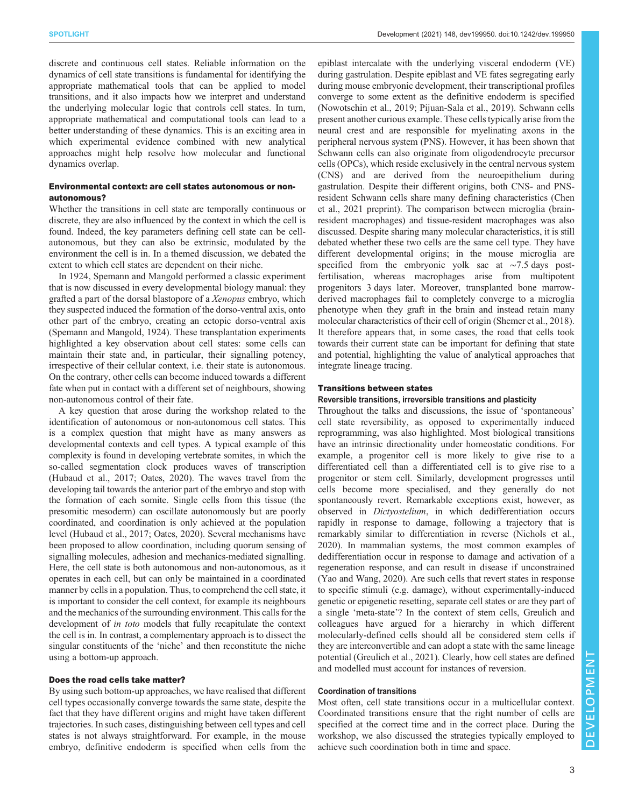discrete and continuous cell states. Reliable information on the dynamics of cell state transitions is fundamental for identifying the appropriate mathematical tools that can be applied to model transitions, and it also impacts how we interpret and understand the underlying molecular logic that controls cell states. In turn, appropriate mathematical and computational tools can lead to a better understanding of these dynamics. This is an exciting area in which experimental evidence combined with new analytical approaches might help resolve how molecular and functional dynamics overlap.

# Environmental context: are cell states autonomous or nonautonomous?

Whether the transitions in cell state are temporally continuous or discrete, they are also influenced by the context in which the cell is found. Indeed, the key parameters defining cell state can be cellautonomous, but they can also be extrinsic, modulated by the environment the cell is in. In a themed discussion, we debated the extent to which cell states are dependent on their niche.

In 1924, Spemann and Mangold performed a classic experiment that is now discussed in every developmental biology manual: they grafted a part of the dorsal blastopore of a Xenopus embryo, which they suspected induced the formation of the dorso-ventral axis, onto other part of the embryo, creating an ectopic dorso-ventral axis [\(Spemann and Mangold, 1924](#page-5-0)). These transplantation experiments highlighted a key observation about cell states: some cells can maintain their state and, in particular, their signalling potency, irrespective of their cellular context, i.e. their state is autonomous. On the contrary, other cells can become induced towards a different fate when put in contact with a different set of neighbours, showing non-autonomous control of their fate.

A key question that arose during the workshop related to the identification of autonomous or non-autonomous cell states. This is a complex question that might have as many answers as developmental contexts and cell types. A typical example of this complexity is found in developing vertebrate somites, in which the so-called segmentation clock produces waves of transcription [\(Hubaud et al., 2017](#page-4-0); [Oates, 2020](#page-4-0)). The waves travel from the developing tail towards the anterior part of the embryo and stop with the formation of each somite. Single cells from this tissue (the presomitic mesoderm) can oscillate autonomously but are poorly coordinated, and coordination is only achieved at the population level [\(Hubaud et al., 2017; Oates, 2020\)](#page-4-0). Several mechanisms have been proposed to allow coordination, including quorum sensing of signalling molecules, adhesion and mechanics-mediated signalling. Here, the cell state is both autonomous and non-autonomous, as it operates in each cell, but can only be maintained in a coordinated manner by cells in a population. Thus, to comprehend the cell state, it is important to consider the cell context, for example its neighbours and the mechanics of the surrounding environment. This calls for the development of in toto models that fully recapitulate the context the cell is in. In contrast, a complementary approach is to dissect the singular constituents of the 'niche' and then reconstitute the niche using a bottom-up approach.

#### Does the road cells take matter?

By using such bottom-up approaches, we have realised that different cell types occasionally converge towards the same state, despite the fact that they have different origins and might have taken different trajectories. In such cases, distinguishing between cell types and cell states is not always straightforward. For example, in the mouse embryo, definitive endoderm is specified when cells from the

epiblast intercalate with the underlying visceral endoderm (VE) during gastrulation. Despite epiblast and VE fates segregating early during mouse embryonic development, their transcriptional profiles converge to some extent as the definitive endoderm is specified [\(Nowotschin et al., 2019](#page-4-0); [Pijuan-Sala et al., 2019](#page-5-0)). Schwann cells present another curious example. These cells typically arise from the neural crest and are responsible for myelinating axons in the peripheral nervous system (PNS). However, it has been shown that Schwann cells can also originate from oligodendrocyte precursor cells (OPCs), which reside exclusively in the central nervous system (CNS) and are derived from the neuroepithelium during gastrulation. Despite their different origins, both CNS- and PNSresident Schwann cells share many defining characteristics ([Chen](#page-4-0) [et al., 2021](#page-4-0) preprint). The comparison between microglia (brainresident macrophages) and tissue-resident macrophages was also discussed. Despite sharing many molecular characteristics, it is still debated whether these two cells are the same cell type. They have different developmental origins; in the mouse microglia are specified from the embryonic yolk sac at ∼7.5 days postfertilisation, whereas macrophages arise from multipotent progenitors 3 days later. Moreover, transplanted bone marrowderived macrophages fail to completely converge to a microglia phenotype when they graft in the brain and instead retain many molecular characteristics of their cell of origin [\(Shemer et al., 2018\)](#page-5-0). It therefore appears that, in some cases, the road that cells took towards their current state can be important for defining that state and potential, highlighting the value of analytical approaches that integrate lineage tracing.

# Transitions between states

Reversible transitions, irreversible transitions and plasticity

Throughout the talks and discussions, the issue of 'spontaneous' cell state reversibility, as opposed to experimentally induced reprogramming, was also highlighted. Most biological transitions have an intrinsic directionality under homeostatic conditions. For example, a progenitor cell is more likely to give rise to a differentiated cell than a differentiated cell is to give rise to a progenitor or stem cell. Similarly, development progresses until cells become more specialised, and they generally do not spontaneously revert. Remarkable exceptions exist, however, as observed in Dictyostelium, in which dedifferentiation occurs rapidly in response to damage, following a trajectory that is remarkably similar to differentiation in reverse ([Nichols et al.,](#page-4-0) [2020\)](#page-4-0). In mammalian systems, the most common examples of dedifferentiation occur in response to damage and activation of a regeneration response, and can result in disease if unconstrained [\(Yao and Wang, 2020](#page-5-0)). Are such cells that revert states in response to specific stimuli (e.g. damage), without experimentally-induced genetic or epigenetic resetting, separate cell states or are they part of a single 'meta-state'? In the context of stem cells, Greulich and colleagues have argued for a hierarchy in which different molecularly-defined cells should all be considered stem cells if they are interconvertible and can adopt a state with the same lineage potential [\(Greulich et al., 2021](#page-4-0)). Clearly, how cell states are defined and modelled must account for instances of reversion.

## Coordination of transitions

Most often, cell state transitions occur in a multicellular context. Coordinated transitions ensure that the right number of cells are specified at the correct time and in the correct place. During the workshop, we also discussed the strategies typically employed to achieve such coordination both in time and space.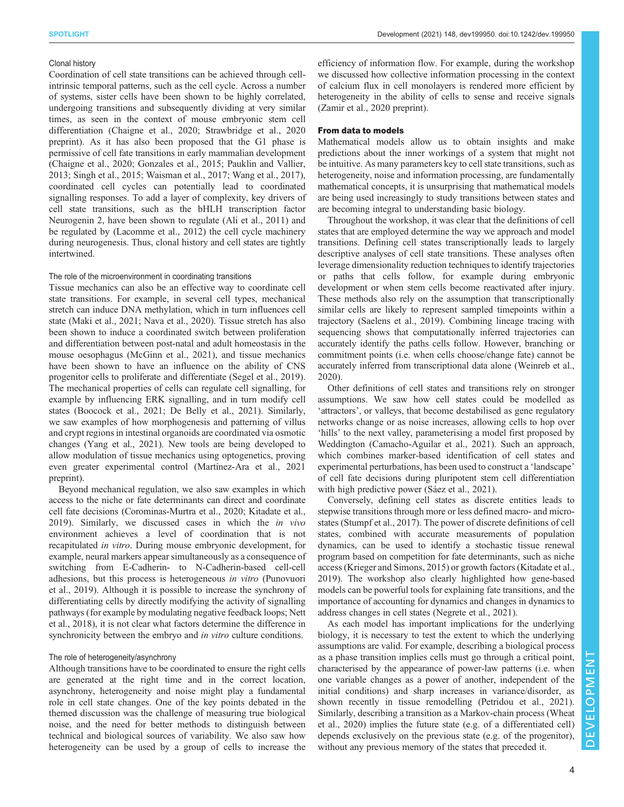# Clonal history

Coordination of cell state transitions can be achieved through cellintrinsic temporal patterns, such as the cell cycle. Across a number of systems, sister cells have been shown to be highly correlated, undergoing transitions and subsequently dividing at very similar times, as seen in the context of mouse embryonic stem cell differentiation [\(Chaigne et al., 2020;](#page-4-0) [Strawbridge et al., 2020](#page-5-0) preprint). As it has also been proposed that the G1 phase is permissive of cell fate transitions in early mammalian development [\(Chaigne et al., 2020](#page-4-0); [Gonzales et al., 2015](#page-4-0); [Pauklin and Vallier,](#page-5-0) [2013](#page-5-0); [Singh et al., 2015; Waisman et al., 2017; Wang et al., 2017\)](#page-5-0), coordinated cell cycles can potentially lead to coordinated signalling responses. To add a layer of complexity, key drivers of cell state transitions, such as the bHLH transcription factor Neurogenin 2, have been shown to regulate [\(Ali et al., 2011](#page-4-0)) and be regulated by [\(Lacomme et al., 2012](#page-4-0)) the cell cycle machinery during neurogenesis. Thus, clonal history and cell states are tightly intertwined.

## The role of the microenvironment in coordinating transitions

Tissue mechanics can also be an effective way to coordinate cell state transitions. For example, in several cell types, mechanical stretch can induce DNA methylation, which in turn influences cell state ([Maki et al., 2021](#page-4-0); [Nava et al., 2020\)](#page-4-0). Tissue stretch has also been shown to induce a coordinated switch between proliferation and differentiation between post-natal and adult homeostasis in the mouse oesophagus ([McGinn et al., 2021](#page-4-0)), and tissue mechanics have been shown to have an influence on the ability of CNS progenitor cells to proliferate and differentiate [\(Segel et al., 2019\)](#page-5-0). The mechanical properties of cells can regulate cell signalling, for example by influencing ERK signalling, and in turn modify cell states ([Boocock et al., 2021; De Belly et al., 2021](#page-4-0)). Similarly, we saw examples of how morphogenesis and patterning of villus and crypt regions in intestinal organoids are coordinated via osmotic changes ([Yang et al., 2021\)](#page-5-0). New tools are being developed to allow modulation of tissue mechanics using optogenetics, proving even greater experimental control ([Martínez-Ara et al., 2021](#page-4-0) preprint).

Beyond mechanical regulation, we also saw examples in which access to the niche or fate determinants can direct and coordinate cell fate decisions [\(Corominas-Murtra et al., 2020; Kitadate et al.,](#page-4-0) [2019](#page-4-0)). Similarly, we discussed cases in which the in vivo environment achieves a level of coordination that is not recapitulated in vitro. During mouse embryonic development, for example, neural markers appear simultaneously as a consequence of switching from E-Cadherin- to N-Cadherin-based cell-cell adhesions, but this process is heterogeneous in vitro ([Punovuori](#page-5-0) [et al., 2019\)](#page-5-0). Although it is possible to increase the synchrony of differentiating cells by directly modifying the activity of signalling pathways (for example by modulating negative feedback loops; [Nett](#page-4-0) [et al., 2018](#page-4-0)), it is not clear what factors determine the difference in synchronicity between the embryo and *in vitro* culture conditions.

# The role of heterogeneity/asynchrony

Although transitions have to be coordinated to ensure the right cells are generated at the right time and in the correct location, asynchrony, heterogeneity and noise might play a fundamental role in cell state changes. One of the key points debated in the themed discussion was the challenge of measuring true biological noise, and the need for better methods to distinguish between technical and biological sources of variability. We also saw how heterogeneity can be used by a group of cells to increase the

efficiency of information flow. For example, during the workshop we discussed how collective information processing in the context of calcium flux in cell monolayers is rendered more efficient by heterogeneity in the ability of cells to sense and receive signals [\(Zamir et al., 2020](#page-5-0) preprint).

#### From data to models

Mathematical models allow us to obtain insights and make predictions about the inner workings of a system that might not be intuitive. As many parameters key to cell state transitions, such as heterogeneity, noise and information processing, are fundamentally mathematical concepts, it is unsurprising that mathematical models are being used increasingly to study transitions between states and are becoming integral to understanding basic biology.

Throughout the workshop, it was clear that the definitions of cell states that are employed determine the way we approach and model transitions. Defining cell states transcriptionally leads to largely descriptive analyses of cell state transitions. These analyses often leverage dimensionality reduction techniques to identify trajectories or paths that cells follow, for example during embryonic development or when stem cells become reactivated after injury. These methods also rely on the assumption that transcriptionally similar cells are likely to represent sampled timepoints within a trajectory ([Saelens et al., 2019\)](#page-5-0). Combining lineage tracing with sequencing shows that computationally inferred trajectories can accurately identify the paths cells follow. However, branching or commitment points (i.e. when cells choose/change fate) cannot be accurately inferred from transcriptional data alone [\(Weinreb et al.,](#page-5-0) [2020\)](#page-5-0).

Other definitions of cell states and transitions rely on stronger assumptions. We saw how cell states could be modelled as 'attractors', or valleys, that become destabilised as gene regulatory networks change or as noise increases, allowing cells to hop over 'hills' to the next valley, parameterising a model first proposed by Weddington [\(Camacho-Aguilar et al., 2021\)](#page-4-0). Such an approach, which combines marker-based identification of cell states and experimental perturbations, has been used to construct a 'landscape' of cell fate decisions during pluripotent stem cell differentiation with high predictive power ([Sáez et al., 2021\)](#page-5-0).

Conversely, defining cell states as discrete entities leads to stepwise transitions through more or less defined macro- and microstates [\(Stumpf et al., 2017\)](#page-5-0). The power of discrete definitions of cell states, combined with accurate measurements of population dynamics, can be used to identify a stochastic tissue renewal program based on competition for fate determinants, such as niche access ([Krieger and Simons, 2015\)](#page-4-0) or growth factors ([Kitadate et al.,](#page-4-0) [2019\)](#page-4-0). The workshop also clearly highlighted how gene-based models can be powerful tools for explaining fate transitions, and the importance of accounting for dynamics and changes in dynamics to address changes in cell states [\(Negrete et al., 2021\)](#page-4-0).

As each model has important implications for the underlying biology, it is necessary to test the extent to which the underlying assumptions are valid. For example, describing a biological process as a phase transition implies cells must go through a critical point, characterised by the appearance of power-law patterns (i.e. when one variable changes as a power of another, independent of the initial conditions) and sharp increases in variance/disorder, as shown recently in tissue remodelling [\(Petridou et al., 2021\)](#page-5-0). Similarly, describing a transition as a Markov-chain process ([Wheat](#page-5-0) [et al., 2020](#page-5-0)) implies the future state (e.g. of a differentiated cell) depends exclusively on the previous state (e.g. of the progenitor), without any previous memory of the states that preceded it.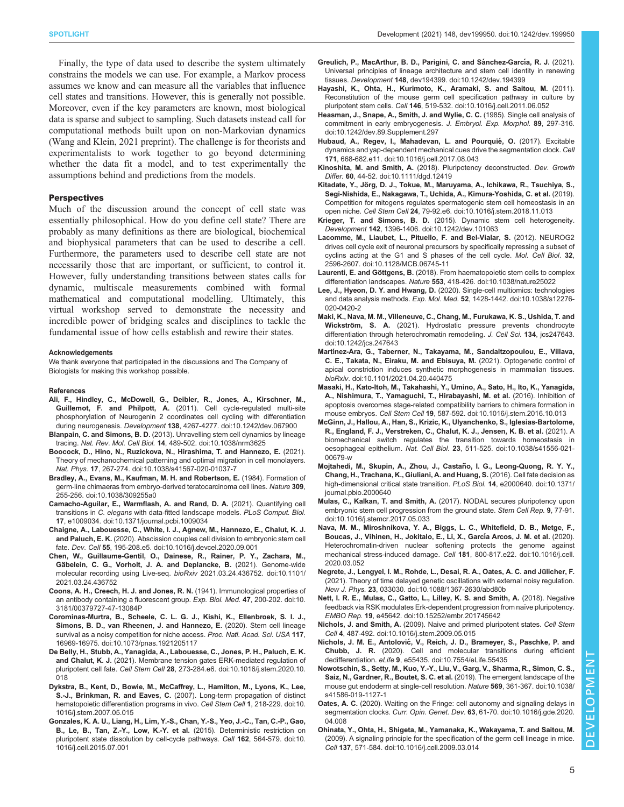<span id="page-4-0"></span>Finally, the type of data used to describe the system ultimately constrains the models we can use. For example, a Markov process assumes we know and can measure all the variables that influence cell states and transitions. However, this is generally not possible. Moreover, even if the key parameters are known, most biological data is sparse and subject to sampling. Such datasets instead call for computational methods built upon on non-Markovian dynamics [\(Wang and Klein, 2021](#page-5-0) preprint). The challenge is for theorists and experimentalists to work together to go beyond determining whether the data fit a model, and to test experimentally the assumptions behind and predictions from the models.

#### **Perspectives**

Much of the discussion around the concept of cell state was essentially philosophical. How do you define cell state? There are probably as many definitions as there are biological, biochemical and biophysical parameters that can be used to describe a cell. Furthermore, the parameters used to describe cell state are not necessarily those that are important, or sufficient, to control it. However, fully understanding transitions between states calls for dynamic, multiscale measurements combined with formal mathematical and computational modelling. Ultimately, this virtual workshop served to demonstrate the necessity and incredible power of bridging scales and disciplines to tackle the fundamental issue of how cells establish and rewire their states.

#### Acknowledgements

We thank everyone that participated in the discussions and The Company of Biologists for making this workshop possible.

#### References

- [Ali, F., Hindley, C., McDowell, G., Deibler, R., Jones, A., Kirschner, M.,](https://doi.org/10.1242/dev.067900) Guillemot, F. and Philpott, A. [\(2011\). Cell cycle-regulated multi-site](https://doi.org/10.1242/dev.067900) [phosphorylation of Neurogenin 2 coordinates cell cycling with differentiation](https://doi.org/10.1242/dev.067900) during neurogenesis. Development 138[, 4267-4277. doi:10.1242/dev.067900](https://doi.org/10.1242/dev.067900)
- Blanpain, C. and Simons, B. D. [\(2013\). Unravelling stem cell dynamics by lineage](https://doi.org/10.1038/nrm3625) tracing. Nat. Rev. Mol. Cell Biol. 14[, 489-502. doi:10.1038/nrm3625](https://doi.org/10.1038/nrm3625)
- [Boocock, D., Hino, N., Ruzickova, N., Hirashima, T. and Hannezo, E.](https://doi.org/10.1038/s41567-020-01037-7) (2021). [Theory of mechanochemical patterning and optimal migration in cell monolayers.](https://doi.org/10.1038/s41567-020-01037-7) Nat. Phys. 17[, 267-274. doi:10.1038/s41567-020-01037-7](https://doi.org/10.1038/s41567-020-01037-7)
- [Bradley, A., Evans, M., Kaufman, M. H. and Robertson, E.](https://doi.org/10.1038/309255a0) (1984). Formation of [germ-line chimaeras from embryo-derived teratocarcinoma cell lines.](https://doi.org/10.1038/309255a0) Nature 309, [255-256. doi:10.1038/309255a0](https://doi.org/10.1038/309255a0)
- [Camacho-Aguilar, E., Warmflash, A. and Rand, D. A.](https://doi.org/10.1371/journal.pcbi.1009034) (2021). Quantifying cell transitions in C. elegans [with data-fitted landscape models.](https://doi.org/10.1371/journal.pcbi.1009034) PLoS Comput. Biol. 17[, e1009034. doi:10.1371/journal.pcbi.1009034](https://doi.org/10.1371/journal.pcbi.1009034)
- [Chaigne, A., Labouesse, C., White, I. J., Agnew, M., Hannezo, E., Chalut, K. J.](https://doi.org/10.1016/j.devcel.2020.09.001) and Paluch, E. K. [\(2020\). Abscission couples cell division to embryonic stem cell](https://doi.org/10.1016/j.devcel.2020.09.001) fate. Dev. Cell 55[, 195-208.e5. doi:10.1016/j.devcel.2020.09.001](https://doi.org/10.1016/j.devcel.2020.09.001)
- [Chen, W., Guillaume-Gentil, O., Dainese, R., Rainer, P. Y., Zachara, M.,](https://doi.org/10.1101/2021.03.24.436752) Gä[belein, C. G., Vorholt, J. A. and Deplancke, B.](https://doi.org/10.1101/2021.03.24.436752) (2021). Genome-wide [molecular recording using Live-seq.](https://doi.org/10.1101/2021.03.24.436752) bioRxiv 2021.03.24.436752. doi:10.1101/ [2021.03.24.436752](https://doi.org/10.1101/2021.03.24.436752)
- [Coons, A. H., Creech, H. J. and Jones, R. N.](https://doi.org/10.3181/00379727-47-13084P) (1941). Immunological properties of [an antibody containing a fluorescent group.](https://doi.org/10.3181/00379727-47-13084P) Exp. Biol. Med. 47, 200-202. doi:10. [3181/00379727-47-13084P](https://doi.org/10.3181/00379727-47-13084P)
- [Corominas-Murtra, B., Scheele, C. L. G. J., Kishi, K., Ellenbroek, S. I. J.,](https://doi.org/10.1073/pnas.1921205117) [Simons, B. D., van Rheenen, J. and Hannezo, E.](https://doi.org/10.1073/pnas.1921205117) (2020). Stem cell lineage [survival as a noisy competition for niche access.](https://doi.org/10.1073/pnas.1921205117) Proc. Natl. Acad. Sci. USA 117, [16969-16975. doi:10.1073/pnas.1921205117](https://doi.org/10.1073/pnas.1921205117)
- [De Belly, H., Stubb, A., Yanagida, A., Labouesse, C., Jones, P. H., Paluch, E. K.](https://doi.org/10.1016/j.stem.2020.10.018) and Chalut, K. J. [\(2021\). Membrane tension gates ERK-mediated regulation of](https://doi.org/10.1016/j.stem.2020.10.018) pluripotent cell fate. Cell Stem Cell 28[, 273-284.e6. doi:10.1016/j.stem.2020.10.](https://doi.org/10.1016/j.stem.2020.10.018) [018](https://doi.org/10.1016/j.stem.2020.10.018)
- [Dykstra, B., Kent, D., Bowie, M., McCaffrey, L., Hamilton, M., Lyons, K., Lee,](https://doi.org/10.1016/j.stem.2007.05.015) S.-J., Brinkman, R. and Eaves, C. [\(2007\). Long-term propagation of distinct](https://doi.org/10.1016/j.stem.2007.05.015) [hematopoietic differentiation programs in vivo.](https://doi.org/10.1016/j.stem.2007.05.015) Cell Stem Cell 1, 218-229. doi:10. [1016/j.stem.2007.05.015](https://doi.org/10.1016/j.stem.2007.05.015)
- [Gonzales, K. A. U., Liang, H., Lim, Y.-S., Chan, Y.-S., Yeo, J.-C., Tan, C.-P., Gao,](https://doi.org/10.1016/j.cell.2015.07.001) [B., Le, B., Tan, Z.-Y., Low, K.-Y. et al.](https://doi.org/10.1016/j.cell.2015.07.001) (2015). Deterministic restriction on [pluripotent state dissolution by cell-cycle pathways.](https://doi.org/10.1016/j.cell.2015.07.001) Cell 162, 564-579. doi:10. [1016/j.cell.2015.07.001](https://doi.org/10.1016/j.cell.2015.07.001)
- Greulich, P., MacArthur, B. D., Parigini, C. and Sánchez-García, R. J. (2021). [Universal principles of lineage architecture and stem cell identity in renewing](https://doi.org/10.1242/dev.194399) tissues. Development 148[, dev194399. doi:10.1242/dev.194399](https://doi.org/10.1242/dev.194399)
- [Hayashi, K., Ohta, H., Kurimoto, K., Aramaki, S. and Saitou, M.](https://doi.org/10.1016/j.cell.2011.06.052) (2011). [Reconstitution of the mouse germ cell specification pathway in culture by](https://doi.org/10.1016/j.cell.2011.06.052) pluripotent stem cells. Cell 146[, 519-532. doi:10.1016/j.cell.2011.06.052](https://doi.org/10.1016/j.cell.2011.06.052)
- [Heasman, J., Snape, A., Smith, J. and Wylie, C. C.](https://doi.org/10.1242/dev.89.Supplement.297) (1985). Single cell analysis of [commitment in early embryogenesis.](https://doi.org/10.1242/dev.89.Supplement.297) J. Embryol. Exp. Morphol. 89, 297-316. [doi:10.1242/dev.89.Supplement.297](https://doi.org/10.1242/dev.89.Supplement.297)
- Hubaud, A., Regev, I., Mahadevan, L. and Pourquié, O. (2017). Excitable [dynamics and yap-dependent mechanical cues drive the segmentation clock.](https://doi.org/10.1016/j.cell.2017.08.043) Cell 171[, 668-682.e11. doi:10.1016/j.cell.2017.08.043](https://doi.org/10.1016/j.cell.2017.08.043)
- Kinoshita, M. and Smith, A. [\(2018\). Pluripotency deconstructed.](https://doi.org/10.1111/dgd.12419) Dev. Growth Differ. 60[, 44-52. doi:10.1111/dgd.12419](https://doi.org/10.1111/dgd.12419)
- Kitadate, Y., Jö[rg, D. J., Tokue, M., Maruyama, A., Ichikawa, R., Tsuchiya, S.,](https://doi.org/10.1016/j.stem.2018.11.013) [Segi-Nishida, E., Nakagawa, T., Uchida, A., Kimura-Yoshida, C. et al.](https://doi.org/10.1016/j.stem.2018.11.013) (2019). [Competition for mitogens regulates spermatogenic stem cell homeostasis in an](https://doi.org/10.1016/j.stem.2018.11.013) open niche. Cell Stem Cell 24[, 79-92.e6. doi:10.1016/j.stem.2018.11.013](https://doi.org/10.1016/j.stem.2018.11.013)
- Krieger, T. and Simons, B. D. [\(2015\). Dynamic stem cell heterogeneity.](https://doi.org/10.1242/dev.101063) Development 142[, 1396-1406. doi:10.1242/dev.101063](https://doi.org/10.1242/dev.101063)
- [Lacomme, M., Liaubet, L., Pituello, F. and Bel-Vialar, S.](https://doi.org/10.1128/MCB.06745-11) (2012). NEUROG2 [drives cell cycle exit of neuronal precursors by specifically repressing a subset of](https://doi.org/10.1128/MCB.06745-11) [cyclins acting at the G1 and S phases of the cell cycle.](https://doi.org/10.1128/MCB.06745-11) Mol. Cell Biol. 32, [2596-2607. doi:10.1128/MCB.06745-11](https://doi.org/10.1128/MCB.06745-11)
- Laurenti, E. and Göttgens, B. [\(2018\). From haematopoietic stem cells to complex](https://doi.org/10.1038/nature25022) differentiation landscapes. Nature 553[, 418-426. doi:10.1038/nature25022](https://doi.org/10.1038/nature25022)
- Lee, J., Hyeon, D. Y. and Hwang, D. [\(2020\). Single-cell multiomics: technologies](https://doi.org/10.1038/s12276-020-0420-2) and data analysis methods. Exp. Mol. Med. 52[, 1428-1442. doi:10.1038/s12276-](https://doi.org/10.1038/s12276-020-0420-2) [020-0420-2](https://doi.org/10.1038/s12276-020-0420-2)
- [Maki, K., Nava, M. M., Villeneuve, C., Chang, M., Furukawa, K. S., Ushida, T. and](https://doi.org/10.1242/jcs.247643) Wickström, S. A. [\(2021\). Hydrostatic pressure prevents chondrocyte](https://doi.org/10.1242/jcs.247643) [differentiation through heterochromatin remodeling.](https://doi.org/10.1242/jcs.247643) J. Cell Sci. 134, jcs247643. [doi:10.1242/jcs.247643](https://doi.org/10.1242/jcs.247643)
- Martí[nez-Ara, G., Taberner, N., Takayama, M., Sandaltzopoulou, E., Villava,](https://doi.org/10.1101/2021.04.20.440475) [C. E., Takata, N., Eiraku, M. and Ebisuya, M.](https://doi.org/10.1101/2021.04.20.440475) (2021). Optogenetic control of [apical constriction induces synthetic morphogenesis in mammalian tissues.](https://doi.org/10.1101/2021.04.20.440475) bioRxiv[. doi:10.1101/2021.04.20.440475](https://doi.org/10.1101/2021.04.20.440475)
- [Masaki, H., Kato-Itoh, M., Takahashi, Y., Umino, A., Sato, H., Ito, K., Yanagida,](https://doi.org/10.1016/j.stem.2016.10.013) [A., Nishimura, T., Yamaguchi, T., Hirabayashi, M. et al.](https://doi.org/10.1016/j.stem.2016.10.013) (2016). Inhibition of [apoptosis overcomes stage-related compatibility barriers to chimera formation in](https://doi.org/10.1016/j.stem.2016.10.013) mouse embryos. Cell Stem Cell 19[, 587-592. doi:10.1016/j.stem.2016.10.013](https://doi.org/10.1016/j.stem.2016.10.013)
- [McGinn, J., Hallou, A., Han, S., Krizic, K., Ulyanchenko, S., Iglesias-Bartolome,](https://doi.org/10.1038/s41556-021-00679-w) [R., England, F. J., Verstreken, C., Chalut, K. J., Jensen, K. B. et al.](https://doi.org/10.1038/s41556-021-00679-w) (2021). A [biomechanical switch regulates the transition towards homeostasis in](https://doi.org/10.1038/s41556-021-00679-w) oesophageal epithelium. Nat. Cell Biol. 23[, 511-525. doi:10.1038/s41556-021-](https://doi.org/10.1038/s41556-021-00679-w) [00679-w](https://doi.org/10.1038/s41556-021-00679-w)
- Mojtahedi, M., Skupin, A., Zhou, J., Castaño, I. G., Leong-Quong, R. Y. Y., [Chang, H., Trachana, K., Giuliani, A. and Huang, S.](https://doi.org/10.1371/journal.pbio.2000640) (2016). Cell fate decision as [high-dimensional critical state transition.](https://doi.org/10.1371/journal.pbio.2000640) PLoS Biol. 14, e2000640. doi:10.1371/ [journal.pbio.2000640](https://doi.org/10.1371/journal.pbio.2000640)
- Mulas, C., Kalkan, T. and Smith, A. [\(2017\). NODAL secures pluripotency upon](https://doi.org/10.1016/j.stemcr.2017.05.033) [embryonic stem cell progression from the ground state.](https://doi.org/10.1016/j.stemcr.2017.05.033) Stem Cell Rep. 9, 77-91. [doi:10.1016/j.stemcr.2017.05.033](https://doi.org/10.1016/j.stemcr.2017.05.033)
- [Nava, M. M., Miroshnikova, Y. A., Biggs, L. C., Whitefield, D. B., Metge, F.,](https://doi.org/10.1016/j.cell.2020.03.052) [Boucas, J., Vihinen, H., Jokitalo, E., Li, X., Garc](https://doi.org/10.1016/j.cell.2020.03.052)ía Arcos, J. M. et al. (2020). [Heterochromatin-driven nuclear softening protects the genome against](https://doi.org/10.1016/j.cell.2020.03.052) [mechanical stress-induced damage.](https://doi.org/10.1016/j.cell.2020.03.052) Cell 181, 800-817.e22. doi:10.1016/j.cell. [2020.03.052](https://doi.org/10.1016/j.cell.2020.03.052)
- [Negrete, J., Lengyel, I. M., Rohde, L., Desai, R. A., Oates, A. C. and Ju](https://doi.org/10.1088/1367-2630/abd80b)̈licher, F. [\(2021\). Theory of time delayed genetic oscillations with external noisy regulation.](https://doi.org/10.1088/1367-2630/abd80b) New J. Phys. 23[, 033030. doi:10.1088/1367-2630/abd80b](https://doi.org/10.1088/1367-2630/abd80b)
- [Nett, I. R. E., Mulas, C., Gatto, L., Lilley, K. S. and Smith, A.](https://doi.org/10.15252/embr.201745642) (2018). Negative [feedback via RSK modulates Erk-dependent progression from naïve pluripotency.](https://doi.org/10.15252/embr.201745642) EMBO Rep. 19[, e45642. doi:10.15252/embr.201745642](https://doi.org/10.15252/embr.201745642)
- Nichols, J. and Smith, A. [\(2009\). Naive and primed pluripotent states.](https://doi.org/10.1016/j.stem.2009.05.015) Cell Stem Cell 4[, 487-492. doi:10.1016/j.stem.2009.05.015](https://doi.org/10.1016/j.stem.2009.05.015)
- Nichols, J. M. E., Antolović[, V., Reich, J. D., Brameyer, S., Paschke, P. and](https://doi.org/10.7554/eLife.55435) Chubb, J. R. [\(2020\). Cell and molecular transitions during efficient](https://doi.org/10.7554/eLife.55435) dedifferentiation. eLife 9[, e55435. doi:10.7554/eLife.55435](https://doi.org/10.7554/eLife.55435)
- [Nowotschin, S., Setty, M., Kuo, Y.-Y., Liu, V., Garg, V., Sharma, R., Simon, C. S.,](https://doi.org/10.1038/s41586-019-1127-1) [Saiz, N., Gardner, R., Boutet, S. C. et al.](https://doi.org/10.1038/s41586-019-1127-1) (2019). The emergent landscape of the [mouse gut endoderm at single-cell resolution.](https://doi.org/10.1038/s41586-019-1127-1) Nature 569, 361-367. doi:10.1038/ [s41586-019-1127-1](https://doi.org/10.1038/s41586-019-1127-1)
- Oates, A. C. [\(2020\). Waiting on the Fringe: cell autonomy and signaling delays in](https://doi.org/10.1016/j.gde.2020.04.008) segmentation clocks. Curr. Opin. Genet. Dev. 63[, 61-70. doi:10.1016/j.gde.2020.](https://doi.org/10.1016/j.gde.2020.04.008) [04.008](https://doi.org/10.1016/j.gde.2020.04.008)
- [Ohinata, Y., Ohta, H., Shigeta, M., Yamanaka, K., Wakayama, T. and Saitou, M.](https://doi.org/10.1016/j.cell.2009.03.014) [\(2009\). A signaling principle for the specification of the germ cell lineage in mice.](https://doi.org/10.1016/j.cell.2009.03.014) Cell 137[, 571-584. doi:10.1016/j.cell.2009.03.014](https://doi.org/10.1016/j.cell.2009.03.014)